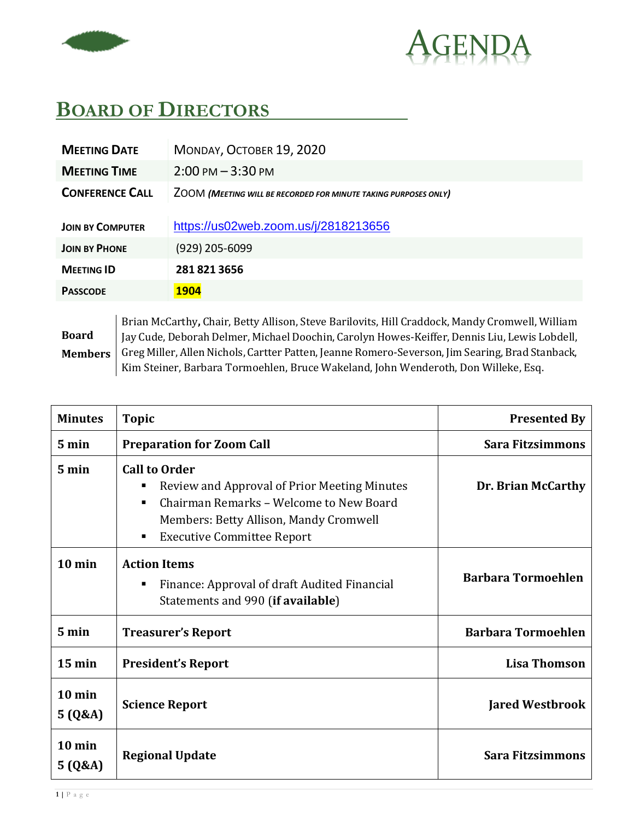



## **BOARD OF DIRECTORS**

| <b>MEETING DATE</b>     | MONDAY, OCTOBER 19, 2020                                        |
|-------------------------|-----------------------------------------------------------------|
| <b>MEETING TIME</b>     | $2:00 \text{ PM} - 3:30 \text{ PM}$                             |
| <b>CONFERENCE CALL</b>  | ZOOM (MEETING WILL BE RECORDED FOR MINUTE TAKING PURPOSES ONLY) |
| <b>JOIN BY COMPUTER</b> | https://us02web.zoom.us/j/2818213656                            |
| <b>JOIN BY PHONE</b>    | (929) 205-6099                                                  |
| <b>MEETING ID</b>       | 2818213656                                                      |
| <b>PASSCODE</b>         | <b>1904</b>                                                     |
|                         |                                                                 |

**Board Members** Brian McCarthy**,** Chair, Betty Allison, Steve Barilovits, Hill Craddock, Mandy Cromwell, William Jay Cude, Deborah Delmer, Michael Doochin, Carolyn Howes-Keiffer, Dennis Liu, Lewis Lobdell, Greg Miller, Allen Nichols, Cartter Patten, Jeanne Romero-Severson, Jim Searing, Brad Stanback, Kim Steiner, Barbara Tormoehlen, Bruce Wakeland, John Wenderoth, Don Willeke, Esq.

| <b>Minutes</b>             | <b>Topic</b>                                                                                                                                                                                                  | <b>Presented By</b>       |
|----------------------------|---------------------------------------------------------------------------------------------------------------------------------------------------------------------------------------------------------------|---------------------------|
| $5 \text{ min}$            | <b>Preparation for Zoom Call</b>                                                                                                                                                                              | <b>Sara Fitzsimmons</b>   |
| $5 \text{ min}$            | <b>Call to Order</b><br>Review and Approval of Prior Meeting Minutes<br>Е<br>Chairman Remarks - Welcome to New Board<br>٠<br>Members: Betty Allison, Mandy Cromwell<br><b>Executive Committee Report</b><br>٠ | Dr. Brian McCarthy        |
| $10$ min                   | <b>Action Items</b><br>Finance: Approval of draft Audited Financial<br>п.<br>Statements and 990 (if available)                                                                                                | <b>Barbara Tormoehlen</b> |
| $5 \text{ min}$            | <b>Treasurer's Report</b>                                                                                                                                                                                     | <b>Barbara Tormoehlen</b> |
| $15 \text{ min}$           | <b>President's Report</b>                                                                                                                                                                                     | <b>Lisa Thomson</b>       |
| $10$ min<br>5(Q&A)         | <b>Science Report</b>                                                                                                                                                                                         | <b>Jared Westbrook</b>    |
| $10 \text{ min}$<br>5(Q&A) | <b>Regional Update</b>                                                                                                                                                                                        | <b>Sara Fitzsimmons</b>   |